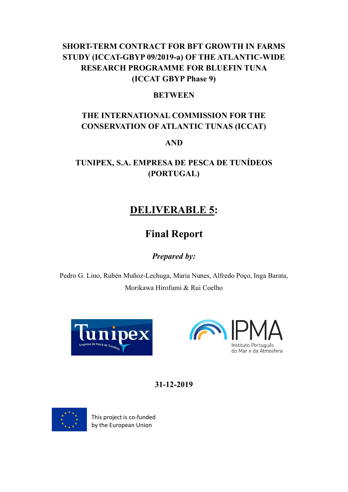## **SHORT-TERM CONTRACT FOR BFT GROWTH IN FARMS STUDY (ICCAT-GBYP 09/2019-a) OF THE ATLANTIC-WIDE RESEARCH PROGRAMME FOR BLUEFIN TUNA (ICCAT GBYP Phase 9)**

#### **BETWEEN**

## **THE INTERNATIONAL COMMISSION FOR THE CONSERVATION OF ATLANTIC TUNAS (ICCAT)**

### **AND**

## **TUNIPEX, S.A. EMPRESA DE PESCA DE TUNÍDEOS (PORTUGAL)**

# **DELIVERABLE 5:**

# **Final Report**

## *Prepared by:*

Pedro G. Lino, Rubén Muñoz-Lechuga, Maria Nunes, Alfredo Poço, Inga Barata, Morikawa Hirofumi & Rui Coelho





**31-12-2019**



This project is co-funded by the European Union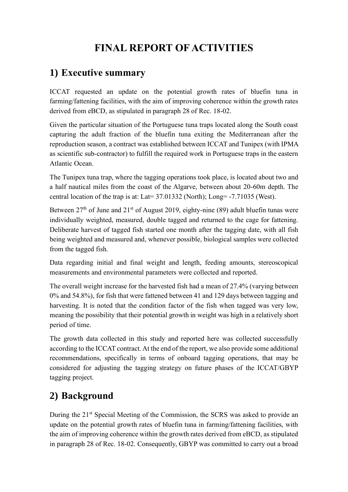# **FINAL REPORT OF ACTIVITIES**

## **1) Executive summary**

ICCAT requested an update on the potential growth rates of bluefin tuna in farming/fattening facilities, with the aim of improving coherence within the growth rates derived from eBCD, as stipulated in paragraph 28 of Rec. 18-02.

Given the particular situation of the Portuguese tuna traps located along the South coast capturing the adult fraction of the bluefin tuna exiting the Mediterranean after the reproduction season, a contract was established between ICCAT and Tunipex (with IPMA as scientific sub-contractor) to fulfill the required work in Portuguese traps in the eastern Atlantic Ocean.

The Tunipex tuna trap, where the tagging operations took place, is located about two and a half nautical miles from the coast of the Algarve, between about 20-60m depth. The central location of the trap is at: Lat=  $37.01332$  (North); Long=  $-7.71035$  (West).

Between  $27<sup>th</sup>$  of June and  $21<sup>st</sup>$  of August 2019, eighty-nine (89) adult bluefin tunas were individually weighted, measured, double tagged and returned to the cage for fattening. Deliberate harvest of tagged fish started one month after the tagging date, with all fish being weighted and measured and, whenever possible, biological samples were collected from the tagged fish.

Data regarding initial and final weight and length, feeding amounts, stereoscopical measurements and environmental parameters were collected and reported.

The overall weight increase for the harvested fish had a mean of 27.4% (varying between 0% and 54.8%), for fish that were fattened between 41 and 129 days between tagging and harvesting. It is noted that the condition factor of the fish when tagged was very low, meaning the possibility that their potential growth in weight was high in a relatively short period of time.

The growth data collected in this study and reported here was collected successfully according to the ICCAT contract. At the end of the report, we also provide some additional recommendations, specifically in terms of onboard tagging operations, that may be considered for adjusting the tagging strategy on future phases of the ICCAT/GBYP tagging project.

# **2) Background**

During the 21<sup>st</sup> Special Meeting of the Commission, the SCRS was asked to provide an update on the potential growth rates of bluefin tuna in farming/fattening facilities, with the aim of improving coherence within the growth rates derived from eBCD, as stipulated in paragraph 28 of Rec. 18-02. Consequently, GBYP was committed to carry out a broad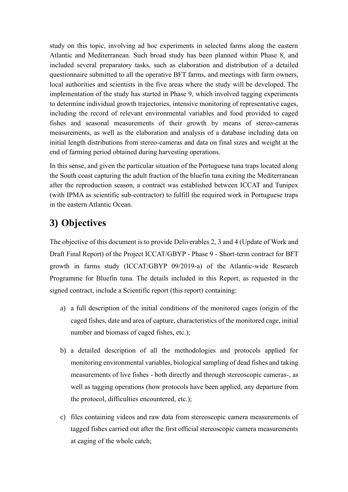study on this topic, involving ad hoc experiments in selected farms along the eastern Atlantic and Mediterranean. Such broad study has been planned within Phase 8, and included several preparatory tasks, such as elaboration and distribution of a detailed questionnaire submitted to all the operative BFT farms, and meetings with farm owners, local authorities and scientists in the five areas where the study will be developed. The implementation of the study has started in Phase 9, which involved tagging experiments to determine individual growth trajectories, intensive monitoring of representative cages, including the record of relevant environmental variables and food provided to caged fishes and seasonal measurements of their growth by means of stereo-cameras measurements, as well as the elaboration and analysis of a database including data on initial length distributions from stereo-cameras and data on final sizes and weight at the end of farming period obtained during harvesting operations.

In this sense, and given the particular situation of the Portuguese tuna traps located along the South coast capturing the adult fraction of the bluefin tuna exiting the Mediterranean after the reproduction season, a contract was established between ICCAT and Tunipex (with IPMA as scientific sub-contractor) to fulfill the required work in Portuguese traps in the eastern Atlantic Ocean.

# **3) Objectives**

The objective of this document is to provide Deliverables 2, 3 and 4 (Update of Work and Draft Final Report) of the Project ICCAT/GBYP - Phase 9 - Short-term contract for BFT growth in farms study (ICCAT/GBYP 09/2019-a) of the Atlantic-wide Research Programme for Bluefin tuna. The details included in this Report, as requested in the signed contract, include a Scientific report (this report) containing:

- a) a full description of the initial conditions of the monitored cages (origin of the caged fishes, date and area of capture, characteristics of the monitored cage, initial number and biomass of caged fishes, etc.);
- b) a detailed description of all the methodologies and protocols applied for monitoring environmental variables, biological sampling of dead fishes and taking measurements of live fishes - both directly and through stereoscopic cameras-, as well as tagging operations (how protocols have been applied, any departure from the protocol, difficulties encountered, etc.);
- c) files containing videos and raw data from stereoscopic camera measurements of tagged fishes carried out after the first official stereoscopic camera measurements at caging of the whole catch;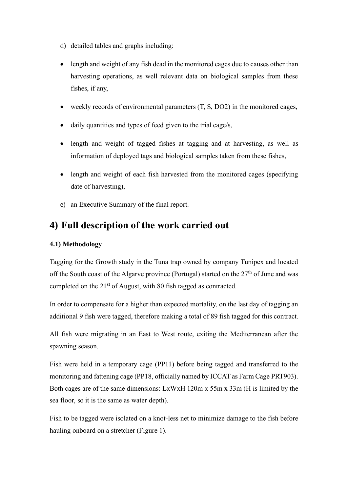- d) detailed tables and graphs including:
- length and weight of any fish dead in the monitored cages due to causes other than harvesting operations, as well relevant data on biological samples from these fishes, if any,
- weekly records of environmental parameters  $(T, S, DO2)$  in the monitored cages,
- daily quantities and types of feed given to the trial cage/s,
- length and weight of tagged fishes at tagging and at harvesting, as well as information of deployed tags and biological samples taken from these fishes,
- length and weight of each fish harvested from the monitored cages (specifying date of harvesting),
- e) an Executive Summary of the final report.

## **4) Full description of the work carried out**

#### **4.1) Methodology**

Tagging for the Growth study in the Tuna trap owned by company Tunipex and located off the South coast of the Algarve province (Portugal) started on the  $27<sup>th</sup>$  of June and was completed on the 21<sup>st</sup> of August, with 80 fish tagged as contracted.

In order to compensate for a higher than expected mortality, on the last day of tagging an additional 9 fish were tagged, therefore making a total of 89 fish tagged for this contract.

All fish were migrating in an East to West route, exiting the Mediterranean after the spawning season.

Fish were held in a temporary cage (PP11) before being tagged and transferred to the monitoring and fattening cage (PP18, officially named by ICCAT as Farm Cage PRT903). Both cages are of the same dimensions: LxWxH 120m x 55m x 33m (H is limited by the sea floor, so it is the same as water depth).

Fish to be tagged were isolated on a knot-less net to minimize damage to the fish before hauling onboard on a stretcher (Figure 1).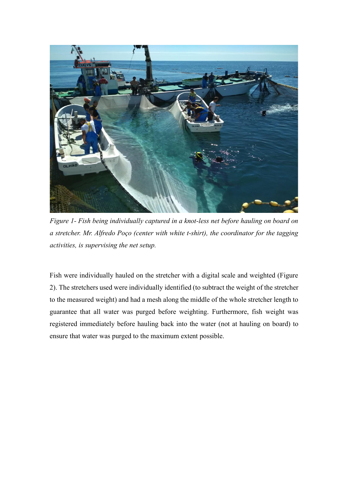

*Figure 1- Fish being individually captured in a knot-less net before hauling on board on a stretcher. Mr. Alfredo Poço (center with white t-shirt), the coordinator for the tagging activities, is supervising the net setup.*

Fish were individually hauled on the stretcher with a digital scale and weighted (Figure 2). The stretchers used were individually identified (to subtract the weight of the stretcher to the measured weight) and had a mesh along the middle of the whole stretcher length to guarantee that all water was purged before weighting. Furthermore, fish weight was registered immediately before hauling back into the water (not at hauling on board) to ensure that water was purged to the maximum extent possible.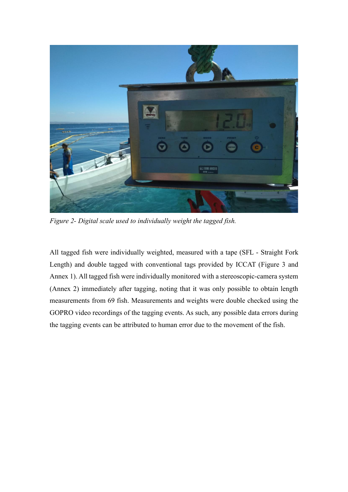

*Figure 2- Digital scale used to individually weight the tagged fish.*

All tagged fish were individually weighted, measured with a tape (SFL - Straight Fork Length) and double tagged with conventional tags provided by ICCAT (Figure 3 and Annex 1). All tagged fish were individually monitored with a stereoscopic-camera system (Annex 2) immediately after tagging, noting that it was only possible to obtain length measurements from 69 fish. Measurements and weights were double checked using the GOPRO video recordings of the tagging events. As such, any possible data errors during the tagging events can be attributed to human error due to the movement of the fish.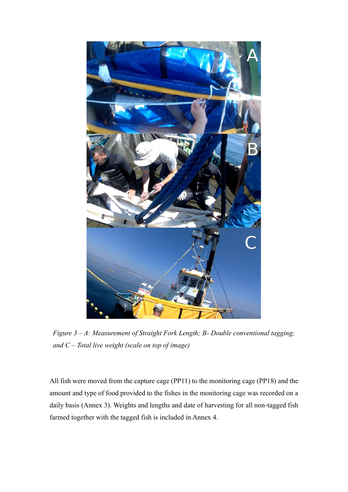

*Figure 3 – A: Measurement of Straight Fork Length; B- Double conventional tagging; and C – Total live weight (scale on top of image)*

All fish were moved from the capture cage (PP11) to the monitoring cage (PP18) and the amount and type of food provided to the fishes in the monitoring cage was recorded on a daily basis (Annex 3). Weights and lengths and date of harvesting for all non-tagged fish farmed together with the tagged fish is included in Annex 4.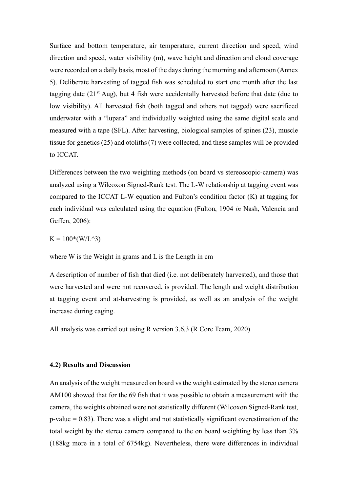Surface and bottom temperature, air temperature, current direction and speed, wind direction and speed, water visibility (m), wave height and direction and cloud coverage were recorded on a daily basis, most of the days during the morning and afternoon (Annex 5). Deliberate harvesting of tagged fish was scheduled to start one month after the last tagging date  $(21<sup>st</sup> Aug)$ , but 4 fish were accidentally harvested before that date (due to low visibility). All harvested fish (both tagged and others not tagged) were sacrificed underwater with a "lupara" and individually weighted using the same digital scale and measured with a tape (SFL). After harvesting, biological samples of spines (23), muscle tissue for genetics (25) and otoliths (7) were collected, and these samples will be provided to ICCAT.

Differences between the two weighting methods (on board vs stereoscopic-camera) was analyzed using a Wilcoxon Signed-Rank test. The L-W relationship at tagging event was compared to the ICCAT L-W equation and Fulton's condition factor (K) at tagging for each individual was calculated using the equation (Fulton, 1904 *in* Nash, Valencia and Geffen, 2006):

$$
K = 100^*(W/L^3)
$$

where W is the Weight in grams and L is the Length in cm

A description of number of fish that died (i.e. not deliberately harvested), and those that were harvested and were not recovered, is provided. The length and weight distribution at tagging event and at-harvesting is provided, as well as an analysis of the weight increase during caging.

All analysis was carried out using R version 3.6.3 (R Core Team, 2020)

#### **4.2) Results and Discussion**

An analysis of the weight measured on board vs the weight estimated by the stereo camera AM100 showed that for the 69 fish that it was possible to obtain a measurement with the camera, the weights obtained were not statistically different (Wilcoxon Signed-Rank test,  $p$ -value = 0.83). There was a slight and not statistically significant overestimation of the total weight by the stereo camera compared to the on board weighting by less than 3% (188kg more in a total of 6754kg). Nevertheless, there were differences in individual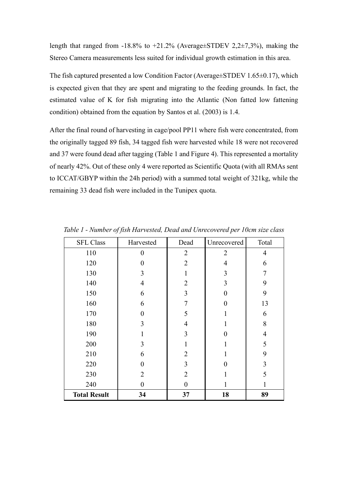length that ranged from  $-18.8\%$  to  $+21.2\%$  (Average  $\pm$ STDEV 2,2 $\pm$ 7,3%), making the Stereo Camera measurements less suited for individual growth estimation in this area.

The fish captured presented a low Condition Factor (Average±STDEV 1.65±0.17), which is expected given that they are spent and migrating to the feeding grounds. In fact, the estimated value of K for fish migrating into the Atlantic (Non fatted low fattening condition) obtained from the equation by Santos et al. (2003) is 1.4.

After the final round of harvesting in cage/pool PP11 where fish were concentrated, from the originally tagged 89 fish, 34 tagged fish were harvested while 18 were not recovered and 37 were found dead after tagging (Table 1 and Figure 4). This represented a mortality of nearly 42%. Out of these only 4 were reported as Scientific Quota (with all RMAs sent to ICCAT/GBYP within the 24h period) with a summed total weight of 321kg, while the remaining 33 dead fish were included in the Tunipex quota.

| <b>SFL Class</b>    | Harvested      | Dead           | Unrecovered    | Total          |
|---------------------|----------------|----------------|----------------|----------------|
| 110                 | $\theta$       | $\overline{2}$ | $\overline{2}$ | $\overline{4}$ |
| 120                 | $\theta$       | $\overline{2}$ | 4              | 6              |
| 130                 | 3              |                | 3              | 7              |
| 140                 | $\overline{4}$ | $\overline{2}$ | $\overline{3}$ | 9              |
| 150                 | 6              | 3              | 0              | 9              |
| 160                 | 6              | 7              | 0              | 13             |
| 170                 | $\Omega$       | 5              |                | 6              |
| 180                 | 3              | $\overline{4}$ |                | 8              |
| 190                 | 1              | 3              | 0              | $\overline{4}$ |
| 200                 | 3              |                |                | 5              |
| 210                 | 6              | $\overline{2}$ | 1              | 9              |
| 220                 | 0              | 3              | 0              | 3              |
| 230                 | $\overline{2}$ | $\overline{2}$ |                | 5              |
| 240                 | $\theta$       | $\overline{0}$ | 1              | 1              |
| <b>Total Result</b> | 34             | 37             | 18             | 89             |

*Table 1 - Number of fish Harvested, Dead and Unrecovered per 10cm size class*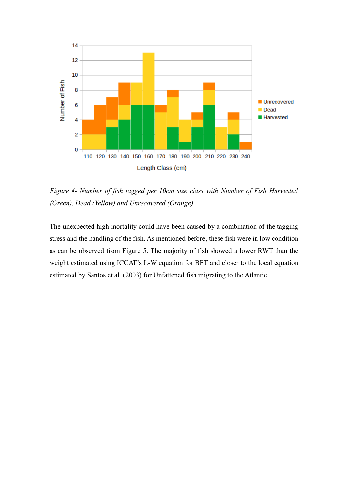

*Figure 4- Number of fish tagged per 10cm size class with Number of Fish Harvested (Green), Dead (Yellow) and Unrecovered (Orange).*

The unexpected high mortality could have been caused by a combination of the tagging stress and the handling of the fish. As mentioned before, these fish were in low condition as can be observed from Figure 5. The majority of fish showed a lower RWT than the weight estimated using ICCAT's L-W equation for BFT and closer to the local equation estimated by Santos et al. (2003) for Unfattened fish migrating to the Atlantic.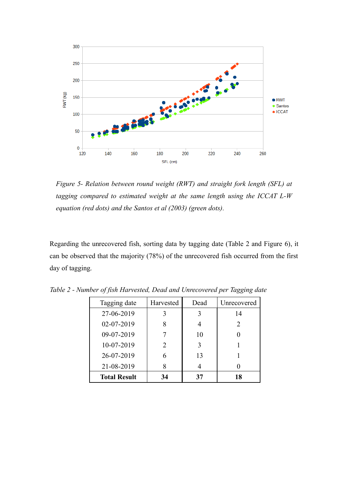

*Figure 5- Relation between round weight (RWT) and straight fork length (SFL) at tagging compared to estimated weight at the same length using the ICCAT L-W equation (red dots) and the Santos et al (2003) (green dots).*

Regarding the unrecovered fish, sorting data by tagging date (Table 2 and Figure 6), it can be observed that the majority (78%) of the unrecovered fish occurred from the first day of tagging.

| Tagging date        | Harvested             | Dead | Unrecovered   |
|---------------------|-----------------------|------|---------------|
| 27-06-2019          |                       |      | 14            |
| 02-07-2019          |                       |      | $\mathcal{D}$ |
| 09-07-2019          |                       | 10   |               |
| 10-07-2019          | $\mathcal{D}_{\cdot}$ | 3    |               |
| 26-07-2019          |                       | 13   |               |
| 21-08-2019          |                       |      |               |
| <b>Total Result</b> | 34                    | 37   | 18            |

*Table 2 - Number of fish Harvested, Dead and Unrecovered per Tagging date*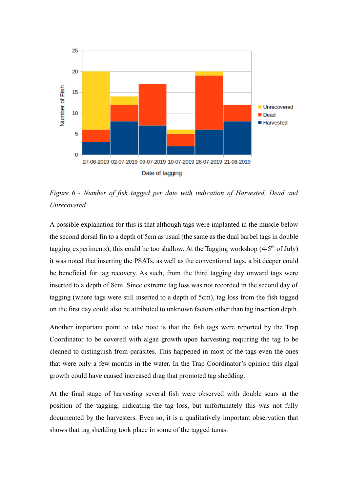

*Figure 6 - Number of fish tagged per date with indication of Harvested, Dead and Unrecovered.*

A possible explanation for this is that although tags were implanted in the muscle below the second dorsal fin to a depth of 5cm as usual (the same as the dual barbel tags in double tagging experiments), this could be too shallow. At the Tagging workshop  $(4-5<sup>th</sup>$  of July) it was noted that inserting the PSATs, as well as the conventional tags, a bit deeper could be beneficial for tag recovery. As such, from the third tagging day onward tags were inserted to a depth of 8cm. Since extreme tag loss was not recorded in the second day of tagging (where tags were still inserted to a depth of 5cm), tag loss from the fish tagged on the first day could also be attributed to unknown factors other than tag insertion depth.

Another important point to take note is that the fish tags were reported by the Trap Coordinator to be covered with algae growth upon harvesting requiring the tag to be cleaned to distinguish from parasites. This happened in most of the tags even the ones that were only a few months in the water. In the Trap Coordinator's opinion this algal growth could have caused increased drag that promoted tag shedding.

At the final stage of harvesting several fish were observed with double scars at the position of the tagging, indicating the tag loss, but unfortunately this was not fully documented by the harvesters. Even so, it is a qualitatively important observation that shows that tag shedding took place in some of the tagged tunas.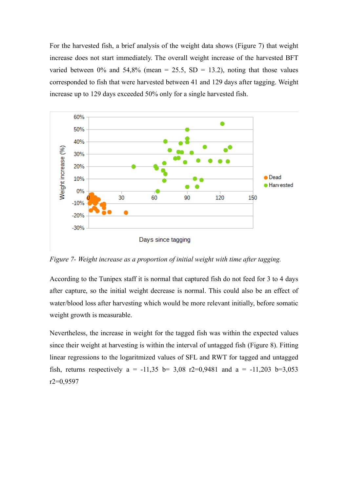For the harvested fish, a brief analysis of the weight data shows (Figure 7) that weight increase does not start immediately. The overall weight increase of the harvested BFT varied between 0% and 54,8% (mean = 25.5, SD = 13.2), noting that those values corresponded to fish that were harvested between 41 and 129 days after tagging. Weight increase up to 129 days exceeded 50% only for a single harvested fish.



*Figure 7- Weight increase as a proportion of initial weight with time after tagging.*

According to the Tunipex staff it is normal that captured fish do not feed for 3 to 4 days after capture, so the initial weight decrease is normal. This could also be an effect of water/blood loss after harvesting which would be more relevant initially, before somatic weight growth is measurable.

Nevertheless, the increase in weight for the tagged fish was within the expected values since their weight at harvesting is within the interval of untagged fish (Figure 8). Fitting linear regressions to the logaritmized values of SFL and RWT for tagged and untagged fish, returns respectively a = -11,35 b= 3,08 r2=0,9481 and a = -11,203 b=3,053 r2=0,9597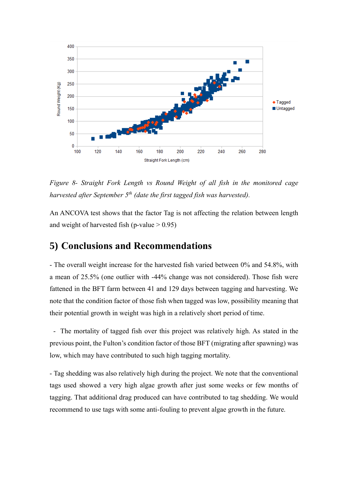

*Figure 8- Straight Fork Length vs Round Weight of all fish in the monitored cage harvested after September 5 th (date the first tagged fish was harvested).*

An ANCOVA test shows that the factor Tag is not affecting the relation between length and weight of harvested fish (p-value  $> 0.95$ )

## **5) Conclusions and Recommendations**

- The overall weight increase for the harvested fish varied between 0% and 54.8%, with a mean of 25.5% (one outlier with -44% change was not considered). Those fish were fattened in the BFT farm between 41 and 129 days between tagging and harvesting. We note that the condition factor of those fish when tagged was low, possibility meaning that their potential growth in weight was high in a relatively short period of time.

 - The mortality of tagged fish over this project was relatively high. As stated in the previous point, the Fulton's condition factor of those BFT (migrating after spawning) was low, which may have contributed to such high tagging mortality.

- Tag shedding was also relatively high during the project. We note that the conventional tags used showed a very high algae growth after just some weeks or few months of tagging. That additional drag produced can have contributed to tag shedding. We would recommend to use tags with some anti-fouling to prevent algae growth in the future.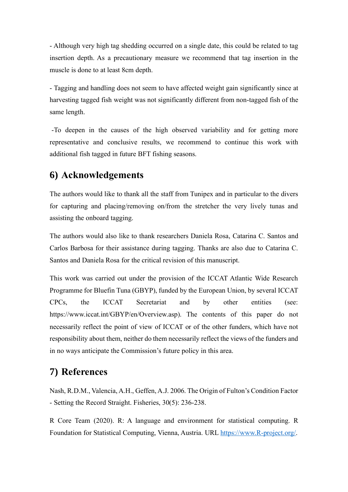- Although very high tag shedding occurred on a single date, this could be related to tag insertion depth. As a precautionary measure we recommend that tag insertion in the muscle is done to at least 8cm depth.

- Tagging and handling does not seem to have affected weight gain significantly since at harvesting tagged fish weight was not significantly different from non-tagged fish of the same length.

-To deepen in the causes of the high observed variability and for getting more representative and conclusive results, we recommend to continue this work with additional fish tagged in future BFT fishing seasons.

## **6) Acknowledgements**

The authors would like to thank all the staff from Tunipex and in particular to the divers for capturing and placing/removing on/from the stretcher the very lively tunas and assisting the onboard tagging.

The authors would also like to thank researchers Daniela Rosa, Catarina C. Santos and Carlos Barbosa for their assistance during tagging. Thanks are also due to Catarina C. Santos and Daniela Rosa for the critical revision of this manuscript.

This work was carried out under the provision of the ICCAT Atlantic Wide Research Programme for Bluefin Tuna (GBYP), funded by the European Union, by several ICCAT CPCs, the ICCAT Secretariat and by other entities (see: https://www.iccat.int/GBYP/en/Overview.asp). The contents of this paper do not necessarily reflect the point of view of ICCAT or of the other funders, which have not responsibility about them, neither do them necessarily reflect the views of the funders and in no ways anticipate the Commission's future policy in this area.

## **7) References**

Nash, R.D.M., Valencia, A.H., Geffen, A.J. 2006. The Origin of Fulton's Condition Factor - Setting the Record Straight. Fisheries, 30(5): 236-238.

R Core Team (2020). R: A language and environment for statistical computing. R Foundation for Statistical Computing, Vienna, Austria. URL [https://www.R-project.org/.](https://www.r-project.org/)